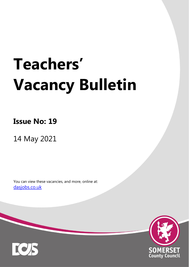# **Teachers' Vacancy Bulletin**

**Issue No: 19**

14 May 2021

You can view these vacancies, and more, online at: [dasjobs.co.uk](http://dasjobs.co.uk/)



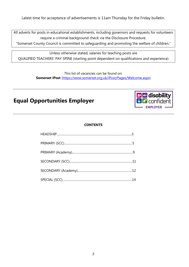Latest time for acceptance of advertisements is 11am Thursday for the Friday bulletin.

All adverts for posts in educational establishments, including governors and requests for volunteers require a criminal background check via the Disclosure Procedure.

"Somerset County Council is committed to safeguarding and promoting the welfare of children."

Unless otherwise stated, salaries for teaching posts are QUALIFIED TEACHERS' PAY SPINE (starting point dependent on qualifications and experience)

> This list of vacancies can be found on: **Somerset iPost** [\(https://www.somerset.org.uk/iPost/Pages/Welcome.aspx\)](https://www.somerset.org.uk/iPost/Pages/Welcome.aspx)

# **Equal Opportunities Employer**



#### **CONTENTS**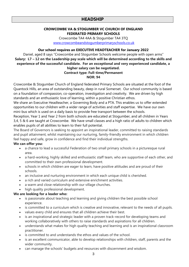#### **HEADSHIP**

#### **CROWCOMBE VA & STOGUMBER VC CHURCH OF ENGLAND FEDERATED PRIMARY SCHOOLS**

Crowcombe TA4 4AA & Stogumber TA4 3TQ [www.crowcombeandstogumberprimaryschools.co.uk](http://www.crowcombeandstogumberprimaryschools.co.uk/)

#### **Our school requires an EXECUTIVE HEADTEACHER for January 2022**

Daniel, aged 8 says "Crowcombe and Stogumber Schools welcome people with open arms" **Salary: L7 – 12 on the Leadership pay scale which will be determined according to the skills and experience of the successful candidate. For an exceptional and very experienced candidate, a higher salary can be negotiated.**

#### **Contract type: Full-time/Permanent NOR: 94**

Crowcombe & Stogumber Church of England federated Primary Schools are situated at the foot of the Quantock Hills, an area of outstanding beauty, deep in rural Somerset. Our school community is based on a foundation of compassion, co-operation, investigation and creativity. We are driven by high standards and an enthusiastic love of learning, within a positive Christian ethos.

We share an Executive Headteacher, a Governing Body and a PTA. This enables us to offer extended opportunities to our children with a wider range of activities and staff expertise. We have our own mini-bus which is used on a daily basis to provide free transport between the schools.

Reception, Year 1 and Year 2 from both schools are educated at Stogumber, and all children in Years 3,4, 5 & 6 are taught at Crowcombe. We have small classes and a high ratio of adults to children which enables pupils of all abilities to learn to their full potential.

The Board of Governors is seeking to appoint an inspirational leader, committed to raising standards and pupil attainment, whilst maintaining our nurturing, family-friendly environment in which children feel happy and safe, grow in confidence and find their individual strengths.

#### **We can offer you:**

- a chance to lead a successful Federation of two small primary schools in a picturesque rural area.
- a hard-working, highly skilled and enthusiastic staff team, who are supportive of each other, and committed to their own professional development.
- schools in which children are eager to learn, have positive attitudes and are proud of their schools.
- an inclusive and nurturing environment in which each unique child is cherished.
- a rich and varied curriculum and extensive enrichment activities.
- a warm and close relationship with our village churches.
- high quality professional development.

#### **We are looking for a leader who:**

- is passionate about teaching and learning and giving children the best possible school experience.
- is committed to a curriculum which is creative and innovative, relevant to the needs of all pupils.
- values every child and ensures that all children achieve their best.
- is an inspirational and strategic leader with a proven track-record for developing teams and working collaboratively with others to raise standards and aspirations for all children.
- understands what makes for high quality teaching and learning and is an inspirational classroom practitioner.
- is committed to and understands the ethos and values of the school.
- is an excellent communicator, able to develop relationships with children, staff, parents and the wider community.
- can manage the schools' budgets and resources with discernment and wisdom.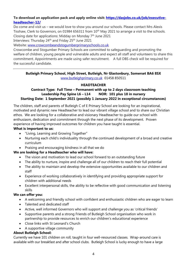#### **To download an application pack and apply online visit: [https://dasjobs.co.uk/job/executive](https://dasjobs.co.uk/job/executive-headteacher-12/)[headteacher-12/](https://dasjobs.co.uk/job/executive-headteacher-12/)**

Do come and visit us – we would love to show you around our schools. Please contact Mrs Alexis Tisshaw, Clerk to Governors, on 01984 656311 from 10<sup>th</sup> May 2021 to arrange a visit to the schools. Closing date for applications: Midday on Monday  $7<sup>th</sup>$  June 2021

Interviews: Thursday 24<sup>th</sup> and Friday 25<sup>th</sup> June 2021

Website: [www.crowcombeandstogumberprimaryschools.co.uk](http://www.crowcombeandstogumberprimaryschools.co.uk/)

Crowcombe and Stogumber Primary Schools are committed to safeguarding and promoting the welfare of children, young people and vulnerable adults and expect all staff and volunteers to share this commitment. Appointments are made using safer recruitment. A full DBS check will be required for the successful candidate.

#### **Butleigh Primary School, High Street, Butleigh, Nr Glastonbury, Somerset BA6 8SX** [www.butleighprimary.co.uk](http://www.butleighprimary.co.uk/) 01458 850511

#### **HEADTEACHER**

#### **Contract Type: Full Time – Permanent with up to 2 days classroom teaching Leadership Pay Spine L6 – L14 NOR: 101 plus 18 in nursery Starting Date: 1 September 2021 (possibly 1 January 2022 in exceptional circumstances)**

The children, staff and parents of Butleigh C of E Primary School are looking for an inspirational, motivated and dynamic new Headteacher to lead our vibrant village school and to share our Christian ethos. We are looking for a collaborative and visionary Headteacher to guide our school with enthusiasm, dedication and commitment through the next phase of its development. Proven experience of having improved outcomes for children you have taught is essential.

#### **What is important to us:**

- "Living, Learning and Growing Together"
- Nurturing each child's individuality through the continued development of a broad and creative curriculum
- Praising and encouraging kindness in all that we do

#### **We are looking for a Headteacher who will have:**

- The vision and motivation to lead our school forward to an outstanding future
- The ability to nurture, inspire and challenge all of our children to reach their full potential
- The ability to maintain and develop the extensive opportunities available to our children and staff
- Experience of working collaboratively in identifying and providing appropriate support for children with additional needs
- Excellent interpersonal skills, the ability to be reflective with good communication and listening skills

#### **We can offer you:**

- A welcoming and friendly school with confident and enthusiastic children who are eager to learn
- Talented and dedicated staff
- Active, well informed Governors who will support and challenge you as 'critical friends'
- Supportive parents and a strong Friends of Butleigh School organisation who work in partnership to provide resources to enrich our children's educational experience
- Close links with St Leonard's Church
- A supportive village community

#### **About Butleigh School:**

Currently we have 101 children on roll, taught in four well-resourced classes. Wrap-around care is available with our breakfast and after school clubs. Butleigh School is lucky enough to have a large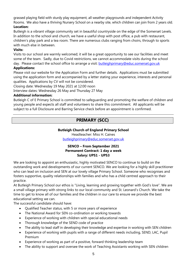grassed playing field with sturdy play equipment, all weather playgrounds and independent Activity Rooms. We also have a thriving Nursery School on a nearby site, which children can join from 2 years old. **Location:**

Butleigh is a vibrant village community set in beautiful countryside on the edge of the Somerset Levels. In addition to the school and church, we have a useful shop with post office, a pub with restaurant, children's play park and a tea room. There are numerous clubs ranging from choirs, through to sports with much else in between.

#### **Visits:**

Visits to our school are warmly welcomed; it will be a great opportunity to see our facilities and meet some of the team. Sadly, due to Covid restrictions, we cannot accommodate visits during the school day. Please contact the school office to arrange a visit: **butleighprimary@educ.somerset.gov.uk** 

#### **Applications:**

Please visit our website for the Application Form and further details. Applications must be submitted using the application form and accompanied by a letter stating your experience, interests and personal qualities. Applications by CV will not be considered.

Closing date: Wednesday 19 May 2021 at 12:00 noon

Interview dates: Wednesday 26 May and Thursday 27 May

#### **Additional information:**

Butleigh C of E Primary School is committed to safeguarding and promoting the welfare of children and young people and expects all staff and volunteers to share this commitment. All applicants will be subject to a full Disclosure and Barring Service check before an appointment is confirmed.

# **PRIMARY (SCC)**

#### **Butleigh Church of England Primary School**

Headteacher: Miss H. Caines [butleighprimary@educ.somerset.gov.uk](mailto:butleighprimary@educ.somerset.gov.uk)

#### **SENCO – From September 2021 Permanent Contract: 1 day a week Salary: UPS1 - UPS3**

We are looking to appoint an enthusiastic, highly motivated SENCO to continue to build on the outstanding work and developments of our current SENCO. We are looking for a highly skill practitioner who can lead on inclusion and SEN at our lovely village Primary School. Someone who recognises and fosters supportive, quality relationships with families and who has a child centred approach to their practice.

At Butleigh Primary School our ethos is "Living, learning and growing together with God's love". We are a small village primary with strong links to our local community and St. Leonard's Church. We take the time to get to know all of our families and the children in our care to ensure we provide the best educational setting we can.

The successful candidate should have:

- Qualified Teacher status, with 5 or more years of experience
- The National Award for SEN co-ordination or working towards
- Experience of working with children with special educational needs
- Thorough knowledge of the SEND code of practice
- The ability to lead staff in developing their knowledge and expertise in working with SEN children
- Experience of working with pupils with a range of different needs including, SEND, LAC, Pupil Premium
- Experience of working as part of a positive, forward thinking leadership team
- The ability to support and oversee the work of Teaching Assistants working with SEN children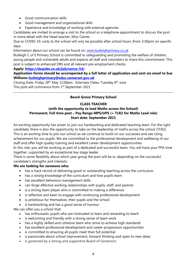- Good communication skills
- Good management and organisational skills
- Experience and knowledge of working with external agencies

Candidates are invited to arrange a visit to the school or a telephone appointment to discuss the post in more detail with the Head teacher, Miss Caines.

Due to COVID-19, visits to the school will only be possible after school hours (from 3:30pm) on specific days.

Information about our school can be found on: [www.butleighprimary.co.uk](http://www.butleighprimary.co.uk/)

Butleigh C of E Primary School is committed to safeguarding and promoting the welfare of children, young people and vulnerable adults and expects all staff and volunteers to share this commitment. This post is subject to enhanced DBS and all relevant pre-employment checks.

#### **Apply:<https://dasjobs.co.uk/job/senco-54/>**

**Application forms should be accompanied by a full letter of application and sent via email to Sue Williams [butleighprimary@educ.somerset.gov.uk](mailto:butleighprimary@educ.somerset.gov.uk)**

Closing Date: Friday 28th May 12:00pm. Interview Dates: Tuesday 8th June This post will commence from 1<sup>st</sup> September 2021

#### **Beech Grove Primary School**

#### **CLASS TEACHER**

#### **(with the opportunity to lead Maths across the School) Permanent, Full time post – Pay Range MPS/UPS (+ TLR2 for Maths Lead role) Start date: September 2021**

An exciting opportunity has arisen to join our hardworking and dedicated teaching team. For the right candidate, there is also the opportunity to take on the leadership of maths across the school (TLR2). This is an exciting time to join our school as we continue to build on our successes and see rising achievement for our pupils. We are committed to the professional development and wellbeing of our staff and offer high quality training and excellent career development opportunities.

In this role, you will be working as part of a dedicated and successful team. You will have your PPA time together, supported by an exceptional key stage leader.

There is some flexibility about which year group the post will be in, depending on the successful candidate's strengths and interests.

#### **We are looking for someone who:**

- has a track record of delivering good or outstanding teaching across the curriculum
- has a strong knowledge of the curriculum and how pupils learn
- has excellent behaviour management skills
- can forge effective working relationships with pupils, staff, and parents
- is a strong team player who is committed to making a difference
- is reflective and keen to engage with continuing professional development
- is ambitious for themselves, their pupils and the school
- is hardworking and has a good sense of humour

We can offer you a school that:

- has enthusiastic pupils who are motivated to learn and rewarding to teach
- is welcoming and friendly with a strong sense of team work
- has a highly skilled and cohesive team who strive to achieve high standards
- has excellent professional development and career progression opportunities
- is committed to ensuring all pupils meet their full potential
- is passionate about school improvement, forward thinking and open to new ideas
- is governed by a strong and supportive Board of Governors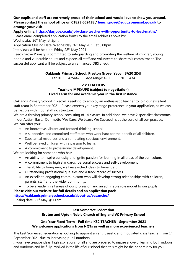#### **Our pupils and staff are extremely proud of their school and would love to show you around. Please contact the school office on 01823 662438 / [beechgrove@educ.somerset.gov.uk](mailto:beechgrove@educ.somerset.gov.uk) to arrange your visit.**

**Apply online:<https://dasjobs.co.uk/job/class-teacher-with-opportunity-to-lead-maths/>**

Please email completed application forms to the email address above by: Wednesday 26<sup>th</sup> May, at 5pm.

Application Closing Date: Wednesday 26<sup>th</sup> May 2021, at 5:00pm

Interviews will be held on: Friday 28th May 2021

Beech Grove Primary is committed to safeguarding and promoting the welfare of children, young people and vulnerable adults and expects all staff and volunteers to share this commitment. The successful applicant will be subject to an enhanced DBS check.

#### **Oaklands Primary School, Preston Grove, Yeovil BA20 2DU**

Tel: 01935 425447 Age range: 4-11 NOR: 434

#### **2 x TEACHERS Teachers MPS/UPS (subject to negotiation) Fixed Term for one academic year in the first instance.**

Oaklands Primary School in Yeovil is seeking to employ an enthusiastic teacher to join our excellent staff team in September 2021. Please express your key stage preference in your application, as we can be flexible within our staffing structure.

We are a thriving primary school consisting of 14 classes. In additional we have 2 specialist classrooms in our Autism Base. Our motto 'We Care, We Learn, We Succeed' is at the core of all our practice. We can offer you:

- An innovative, vibrant and forward thinking school.
- A supportive and committed staff team who work hard for the benefit of all children.
- Substantial resources and a stimulating spacious environment.
- Well behaved children with a passion to learn.
- A commitment to professional development.

We are looking for someone who has:

- An ability to inspire curiosity and ignite passion for learning in all areas of the curriculum.
- A commitment to high standards, personal success and self-development.
- The ability to bring new, well researched ideas to benefit all.
- Outstanding professional qualities and a track record of success.
- An excellent, engaging communicator who will develop strong relationships with children, parents, staff and the wider community.
- To be a leader in all areas of our profession and an admirable role model to our pupils.

**Please visit our website for full details and an application pack <https://oaklandsprimaryschool.co.uk/about-us/vacancies/>**

Closing date: 21st May @ 11am

#### **East Somerset Federation Bruton and Upton Noble Church of England VC Primary School**

#### **One Year Fixed Term - Full time KS2 TEACHER - September 2021 We welcome applications from NQTs as well as more experienced teachers**

The East Somerset Federation is looking to appoint an enthusiastic and motivated class teacher from 1<sup>st</sup> September 2021 due to increasing pupil numbers.

If you have creative ideas, high aspirations for all and are prepared to inspire a love of learning both indoors and outdoors and be fully involved in the life of our school then this might be the opportunity for you.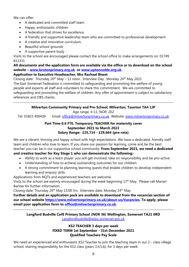We can offer:

- A dedicated and committed staff team
- Happy, enthusiastic children
- A federation that strives for excellence
- A friendly and supportive leadership team who are committed to professional development
- A creative and innovative curriculum.
- Beautiful school grounds
- A supportive parent body

Visits to the school are encouraged please contact the school office to make arrangements on: 01749 812331

#### **All documents and the application form are available via the office or to download on the school website – [www.brutonprimary.org.uk](http://www.brutonprimary.org.uk/) or [www.uptonnoble.org.uk](http://www.uptonnoble.org.uk/)**

#### **Application to Executive Headteacher, Mrs Rachael Bisset**

Closing date: Thursday 20<sup>th</sup> May – 12 noon. Interview Day: Monday 24<sup>th</sup> May 2021 The East Somerset Federation is committed to safeguarding and promoting the welfare of young people and expects all staff and volunteers to share this commitment. We are committed to safeguarding and promoting the welfare of children. Any offer of appointment is subject to satisfactory references and DBS checks.

#### **Milverton Community Primary and Pre-School, Milverton, Taunton TA4 1JP**

Age range: 4-11, NOR: 202

Tel: 01823 400439 Email: [office@milvertonprimary.co.uk](mailto:office@milvertonprimary.co.uk) Website: [www.milvertonprimary.co.uk](http://www.milvertonprimary.co.uk/)

#### **Part Time 0.6 FTE, Temporary TEACHER for maternity cover September 2021 to March 2022 Salary Range: £25,714 - £29,664 (pro-rata)**

We are a vibrant, thriving and happy school with high expectations. We have a dedicated, friendly staff team and children who love to learn. If you share our passion for learning, come and be the best teacher you can be in our supportive school community. **From September 2021, we need a dedicated and creative teacher for Key Stage 1 who can demonstrate the following:-**

#### • Ability to work as a team player: you will get involved, take on responsibility and be pro-active.

- Understanding of how to achieve outstanding outcomes for our children.
- A strong commitment to planning learning quests that enable children to develop independent learning and enquiry skills.

Applications from NQTs and experienced teachers are welcome.

Visits to the school are warmly encouraged during the week beginning 17<sup>th</sup> May. Please call Marian Barlow for further information.

Closing date: Thursday 20<sup>th</sup> May 15:00 hrs. Interview date: Monday 24<sup>th</sup> May

**Further details and an application pack are available to download from the vacancies section of our school website [https://www.milvertonprimary.co.uk/about-us/Vacancies.](https://www.milvertonprimary.co.uk/about-us/Vacancies) To apply, please email your application form to [office@milvertonprimary.co.uk.](mailto:office@milvertonprimary.co.uk)**

#### **Langford Budville CofE Primary School (NOR 36) Wellington, Somerset TA21 0RD** [Langfordbudville@educ.somerset.gov.uk](mailto:Langfordbudville@educ.somerset.gov.uk)

#### **KS2 TEACHER 3 days per week FIXED TERM 1st September - 31st December 2021 Qualified Teachers Pay Scale**

We need an experienced and enthusiastic KS2 Teacher to join the teaching team in our 2 - class village school, sharing responsibility for the KS2 class (years 3,4,5,6), for 3 days per week.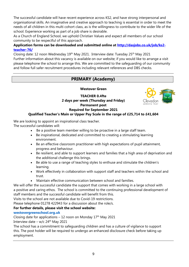The successful candidate will have recent experience across KS2, and have strong interpersonal and organisational skills. An imaginative and creative approach to teaching is essential in order to meet the needs of all children in this multi cohort class, as is the willingness to contribute to the wider life of the school. Experience working as part of a job share is desirable.

As a Church of England School, we uphold Christian Values and expect all members of our school community to be respectful of this approach.

#### **Application forms can be downloaded and submitted online at [http://dasjobs.co.uk/job/ks2](http://dasjobs.co.uk/job/ks2-teacher-76/) [teacher-76/](http://dasjobs.co.uk/job/ks2-teacher-76/)**

Closing date: 12 noon Wednesday  $19<sup>th</sup>$  May 2021. Interview date: Tuesday 25<sup>th</sup> May 2021 Further information about this vacancy is available on our website; if you would like to arrange a visit please telephone the school to arrange this. We are committed to the safeguarding of our community and follow full safer recruitment procedures including relevant references and DBS checks.

# **PRIMARY (Academy)**

#### **Westover Green**

#### **TEACHER 0.4fte 2 days per week (Thursday and Friday) Permanent post Required for September 2021**



### **Qualified Teacher's Main or Upper Pay Scale in the range of £25,714 to £41,604**

We are looking to appoint an inspirational class teacher. The successful candidates will:

- Be a positive team member willing to be proactive in a large staff team.
- Be inspirational, dedicated and committed to creating a stimulating learning environment.
- Be an effective classroom practitioner with high expectations of pupil attainment, progress and behaviour.
- Be resilient, and able to support learners and families that a high area of deprivation and the additional challenge this brings.
- Be able to use a range of teaching styles to enthuse and stimulate the children's learning.
- Work effectively in collaboration with support staff and teachers within the school and trust.
- Maintain effective communication between school and families.

We will offer the successful candidate the support that comes with working in a large school with a positive and caring ethos. The school is committed to the continuing professional development of staff members and the successful candidate will benefit from this.

Visits to the school are not available due to Covid-19 restrictions.

Please telephone 01278 422943 for a discussion about the role/s.

#### **For further details, please visit the school website:**

#### **[westovergreenschool.org.uk](https://www.westovergreenschool.org.uk/Vacancies/)**

Closing date for applications  $-12$  noon on Monday 17<sup>th</sup> May 2021

Interview date – w/c  $24<sup>th</sup>$  May 2021

The school has a commitment to safeguarding children and has a culture of vigilance to support this. The post holder will be required to undergo an enhanced disclosure check before taking up employment.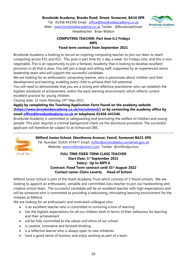#### **Brookside Academy, Brooks Road, Street, Somerset, BA16 0PR**



Tel: 01458 443340 Email: [office@brooksideacademy.co.uk](mailto:office@brooksideacademy.co.uk) Web: [www.brooksideacademy.co.uk](http://www.brooksideacademy.co.uk/) Twitter: @BrooksideStreet Headteacher: Brian Walton

# **COMPUTING TEACHER, Part time 0.2 Fridays MPS**

#### **Fixed term contract from September 2021**

Brookside Academy is looking to recruit an inspiring computing teacher to join our team to teach computing across KS1 and KS2. This post is part time for 1 day a week, for Fridays only, and this is nonnegotiable. This is an opportunity to join a fantastic Academy that is looking to develop excellent provision in all that it does. You will join a large and willing staff, supported by an experienced senior leadership team who will support the successful candidate.

We are looking for an enthusiastic computing teacher, who is passionate about children and their development and learning, enabling every child to achieve their full potential.

You will need to demonstrate that you are a strong and reflective practitioner who can establish the highest standards of achievement, within the early learning environment, which reflects current excellent practice for young children.

Closing date: 12 noon Monday 24th May 2021.

**MILFORD** JUNIOR **SCHOOL** "Every Day Matters

#### **Apply by completing the Teaching Application Form found on the academy website [\(https://www.brooksideacademy.co.uk/recruitment/\)](https://www.brooksideacademy.co.uk/recruitment/) or by contacting the academy office by email [office@brooksideademy.co.uk](mailto:office@brooksideademy.co.uk) or telephone 01458-443340.**

Brookside Academy is committed to safeguarding and promoting the welfare of children and young people. This post requires a criminal background check via the disclosure procedure. The successful applicant will therefore be subject to an Enhanced DBS.

#### **Milford Junior School, Glenthorne Avenue, Yeovil, Somerset BA21 4PG**

Tel. Number: 01935 474477 Email: [milfordjuniors@educ.somerset.gov.uk](mailto:milfordjuniors@educ.somerset.gov.uk) Website: [www.milfordjuniors.com](http://www.milfordjuniors.com/) Twitter: @milfordjuniors

#### **FULL TIME FIXED TERM CLASS TEACHER Start Date: 1 st September 2021 Salary: Up to MPS 6 Contract: Fixed Term contract until 31st August 2022 Contact name: Claire Laverty Head of School**

Milford Junior School is part of the Huish Academy Trust which consists of 3 Yeovil schools. We are looking to appoint an enthusiastic, versatile and committed class teacher to join our hardworking and creative school team. The successful candidate will be an excellent teacher with high expectations and will be someone who is committed to providing a welcoming, stimulating learning environment for the children at Milford.

We are looking for an enthusiastic and motivated colleague who:

- is an excellent teacher who is committed to nurturing a love of learning
- has the highest expectations for all our children both in terms of their behaviour for learning and their achievement
- will be fully committed to the values and ethos of our school
- is creative, innovative and forward thinking
- is a reflective learner who is always open to new initiatives
- have a good sense of humour and enjoy working as part of a team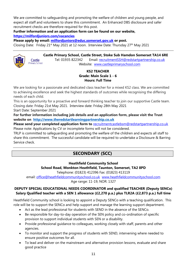We are committed to safeguarding and promoting the welfare of children and young people, and expect all staff and volunteers to share this commitment. An Enhanced DBS disclosure and safer recruitment checks are therefore required for this post.

**Further information and an application form can be found on our website,** 

**<https://milfordjuniors.com/vacancies>**

**Please apply by email: [milfordjuniors@educ.somerset.gov.uk](mailto:milfordjuniors@educ.somerset.gov.uk) or post.** 

Closing Date: Friday 21<sup>st</sup> May 2021 at 12 noon. Interview Date: Thursday 27<sup>th</sup> May 2021



**Castle Primary School, Castle Street, Stoke Sub Hamdon Somerset TA14 6RE** Tel: 01935 822342 Email: [recruitmentSSH@redstartpartnership.co.uk](mailto:recruitmentSSH@redstartpartnership.co.uk) **Primary School** Website: [www.castleprimaryschool.com](http://www.castleprimaryschool.com/)

#### **KS2 TEACHER Grade: Main Scale 1 - 6 Hours: Full Time**

We are looking for a passionate and dedicated class teacher for a mixed KS2 class. We are committed to achieving excellence and seek the highest standards of outcomes while recognising the differing needs of each child.

This is an opportunity for a proactive and forward thinking teacher to join our supportive Castle team. Closing date: Friday 21st May 2021. Interview date: Friday 28th May 2021

Start Date: September 2021

Castle

**For further information including job details and an application form, please visit the Trust website on [http://www.theredstartlearningpartnership.co.uk](http://www.theredstartlearningpartnership.co.uk/)** 

**Please send your completed application form to** [recruitmentcastlebsm@redstartpartnership.co.uk](mailto:recruitmentcastlebsm@redstartpartnership.co.uk) Please note: Applications by CV or incomplete forms will not be considered.

TRLP is committed to safeguarding and promoting the welfare of the children and expects all staff to share this commitment. The successful candidate will be required to undertake a Disclosure & Barring Service check.

# **SECONDARY (SCC)**

### **Heathfield Community School School Road, Monkton Heathfield, Taunton, Somerset, TA2 8PD**

Telephone: (01823) 412396 Fax: (01823) 413119

email: [office@heathfieldcommunityschool.co.uk](mailto:office@heathfieldcommunityschool.co.uk) [www.heathfieldcommunityschool.com](http://www.heathfield.somerset.sch.uk/)

Age range: 11-19, NOR: 1327

#### **DEPUTY SPECIAL EDUCATIONAL NEEDS COORDINATOR and qualified TEACHER (Deputy SENCo) Salary Qualified teacher with a SEN 1 allowance (£2,270 p.a.) plus TLR2A (£2,873 p.a.) full time**

Heathfield Community school is looking to appoint a Deputy SENCo with a teaching qualification. This role will be to support the SENCo and help support and manage the learning support department.

- Act as the lead professional for students with SEND in the absence of the SENCo.
- Be responsible for day-to-day operation of the SEN policy and co-ordination of specific provision to support individual students with SEN or a disability.
- Provide professional guidance to colleagues, working closely with staff, parents and other agencies.
- To monitor and support the progress of students with SEND, intervening where needed to ensure positive outcomes for all.
- To lead and deliver on the mainstream and alternative provision lessons, evaluate and share good practice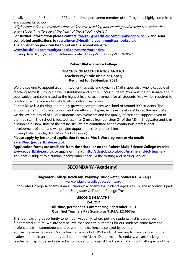Ideally required for September 2021, a full-time, permanent member of staff to join a highly committed and successful school.

"High expectations, a relentless drive to improve teaching and learning and a deep conviction that every student matters lie at the heart of the school" - Ofsted

**For further information please contact: [fharrell@heathfieldcommunityschool.co.uk](mailto:fharrell@heathfieldcommunityschool.co.uk) and send completed applications to [recruitment@heathfieldcommunityschool.co.uk](mailto:recruitment@heathfieldcommunityschool.co.uk)**

**The application pack can be found on the school website** 

**[www.heathfieldcommunityschool.com/news/vacancies.](https://www.heathfieldcommunityschool.com/news/vacancies)** 

Closing date: 18/05/2021 Interview date: during W.C. during W.C 24/05/21

#### **Robert Blake Science College**

#### **TEACHER OF MATHEMATICS AND ICT Teachers Pay Scale (Main or Upper) Required for September 2021**

We are seeking to appoint a committed, enthusiastic and dynamic Maths specialist, who is capable of teaching some ICT, to join a well-established and highly successful team. You must be passionate about your subject and committed to the highest level of achievement for all students. You will be required to teach across the age and ability level in both subject areas.

Robert Blake is a thriving and rapidly growing comprehensive school of around 900 students. The school is an exciting place to work and our ethos of 'Aspire, Achieve, Celebrate' lies at the heart of all we do. We are proud of all our students' achievements and the quality of care and support given to them by staff. The school is located less than 2 miles from Junction 24 of the M5 in Bridgwater and is in a stunning all new state of the art facility. We are committed to the continuous professional development of staff and will provide opportunities for you to shine.

Closing Date: Tuesday 18th May 2021 (12 noon)

**Please apply by letter and application form, to Mrs S Ward by post or via email: [Sara.Ward@robertblake.org.uk](mailto:Sara.Ward@robertblake.org.uk)**

**Application forms are available from the school or on the Robert Blake Science College website: [www.robertblake.org.uk](http://www.robertblake.org.uk/) or apply online at:<http://dasjobs.co.uk/job/maths-and-ict-teacher/>** This post is subject to a criminal background check via the Vetting and Barring Service.

## **SECONDARY (Academy)**

#### **Bridgwater College Academy, Parkway, Bridgwater, Somerset TA6 4QY**

[www.bridgwatercollegeacademy.org](http://www.bridgwatercollegeacademy.org/)

Bridgwater College Academy is an all-through academy for students aged 3 to 16. The academy is part of the Bridgwater & Taunton College Trust.

#### **SECOND IN MATHS**

#### **Ref: 217**

**Full-time, permanent. Commencing September 2021 Qualified Teachers Pay Scale plus TLR2A, £2,667pa**

This is an exciting opportunity to join our Academy, where putting students first is part of our fundamental culture. We strongly believe that positive outcomes for our students come from the professionalism, commitment and passion for excellence displayed by our staff. You will be an experienced Maths teacher across both KS3 and KS4 wishing to step up to a middle leadership role in an ambitious and competitive Maths Department. Essentially, we are seeking a teacher with aptitude and intellect who is able to fully assist the Head of Maths with all aspects of the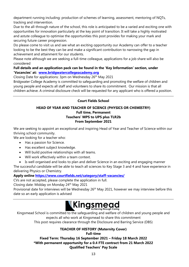department running including: production of schemes of learning, assessment, mentoring of NQTs, tracking and intervention.

Due to the all-through nature of the school, this role is anticipated to be a varied and exciting one with opportunities for innovation particularly at the key point of transition. It will take a highly motivated and astute colleague to optimise the opportunities this post provides for making your mark and securing future career progression.

Do please come to visit us and see what an exciting opportunity our Academy can offer to a teacher looking to be the best they can be and make a significant contribution to narrowing the gap in achievement and attainment for our students.

Please note although we are seeking a full-time colleague, applications for a job share will also be considered

#### **Full details and an application pack can be found in the 'Key Information' section, under 'Vacancies' at: [www.bridgwatercollegeacademy.org](http://www.bridgwatercollegeacademy.org/)**

Closing Date for applications: 3pm on Wednesday 26<sup>th</sup> May 2021

Bridgwater College Academy is committed to safeguarding and promoting the welfare of children and young people and expects all staff and volunteers to share its commitment. Our mission is that all children achieve. A criminal disclosure check will be requested for any applicant who is offered a position.

#### **Court Fields School**

#### **HEAD OF YEAR AND TEACHER OF SCIENCE (PHYSICS OR CHEMISTRY) Full time, Permanent Teachers' MPS to UPS plus TLR2b From September 2021**

We are seeking to appoint an exceptional and inspiring Head of Year and Teacher of Science within our thriving school community.

We are looking for a teacher who:

- Has a passion for Science.
- Has excellent subject knowledge.
- Will build positive relationships with all teams.
- Will work effectively within a team context.

• Is well organised and looks to plan and deliver Science in an exciting and engaging manner The successful candidate will be able to teach all sciences to Key Stage 3 and 4 and have experience in delivering Physics or Chemistry.

**Apply online<https://www.courtfields.net/category/staff-vacancies/>**

CVs are not accepted, please complete the application in full.

Closing date: Midday on Monday 24th May 2021

Provisional date for interviews will be Wednesday 26<sup>th</sup> May 2021, however we may interview before this date so an early application is advised

Kingsmead School is committed to the safeguarding and welfare of children and young people and expects all who work at Kingsmead to share this commitment

This post requires clearance through the Disclosure and Barring Service (DBS)

# **TEACHER OF HISTORY (Maternity Cover)**

**Full-time**

**Fixed Term: Thursday 16 September 2021 – Friday 18 March 2022 \*With permanent opportunity for a 0.4 FTE contract from 21 March 2022 Qualified Teachers' Pay Scale**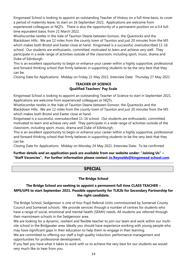Kingsmead School is looking to appoint an outstanding Teacher of History on a full-time basis, to cover a period of maternity leave, to start on 16 September 2021. Applications are welcome from experienced colleagues or NQTs. There is also the opportunity of a permanent position on a 0.4 fulltime equivalent basis, from 21 March 2022.

Wiveliscombe nestles in the Vale of Taunton Deane between Exmoor, the Quantocks and the Blackdown Hills. We are 12 miles from the county town of Taunton and just 20 minutes from the M5 which makes both Bristol and Exeter close at hand. Kingsmead is a successful, oversubscribed 11-16 school. Our students are enthusiastic, committed, motivated to learn and achieve very well. They participate in a wide range of activities outside of the classroom, including sport, music, drama and Duke of Edinburgh.

This is an excellent opportunity to begin or enhance your career within a highly supportive, professional and forward thinking school that firmly believes in supporting students to be the very best that they can be.

Closing Date for Applications: Midday on Friday 21 May 2021. Interview Date: Thursday 27 May 2021

#### **TEACHER OF SCIENCE Qualified Teachers' Pay Scale**

Kingsmead School is looking to appoint an outstanding Teacher of Science to start in September 2021. Applications are welcome from experienced colleagues or NQTs.

Wiveliscombe nestles in the Vale of Taunton Deane between Exmoor, the Quantocks and the Blackdown Hills. We are 12 miles from the county town of Taunton and just 20 minutes from the M5 which makes both Bristol and Exeter close at hand.

Kingsmead is a successful, oversubscribed 11-16 school. Our students are enthusiastic, committed, motivated to learn and achieve very well. They participate in a wide range of activities outside of the classroom, including sport, music, drama and Duke of Edinburgh.

This is an excellent opportunity to begin or enhance your career within a highly supportive, professional and forward thinking school that firmly believes in supporting students to be the very best that they can be.

Closing Date for Applications: Midday on Monday 24 May 2021. Interview Date: To be confirmed

#### **Further details and an application pack are available from our website under: "Joining Us" – "Staff Vacancies". For further information please contact [Jo.Reynolds@kingsmead-school.com](mailto:Jo.Reynolds@kingsmead-school.com)**

## **SPECIAL**

#### **The Bridge School**

#### **The Bridge School are seeking to appoint a permanent full time CLASS TEACHER – MPS/UPS to start September 2021. Possible opportunity for TLR2b for Secondary Partnership for the right candidate.**

The Bridge School, Sedgemoor is one of four Pupil Referral Units commissioned by Somerset County Council and Somerset schools. We provide services through a number of centres for students who have a range of social, emotional and mental health (SEMH) needs. All students are referred through their mainstream schools in the Sedgemoor area.

We are looking for a dynamic, resilient and flexible teacher to join our team and work within our multisite school in the Bridgwater area. Ideally you should have experience working with young people who may have significant gaps in their education to help them re-engage in their learning.

We are committed to offering our staff a high quality induction, performance management and opportunities for professional development.

If you feel you have what it takes to work with us to achieve the very best for our students we would very much like to hear from you.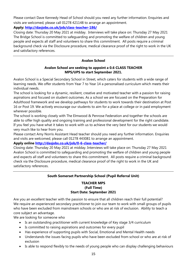Please contact Dave Kennedy Head of School should you need any further information. Enquiries and visits are welcomed, please call 01278 421148 to arrange an appointment.

#### **Apply:<http://dasjobs.co.uk/job/class-teacher-186/>**

Closing date: Thursday 20 May 2021 at midday. Interviews will take place on: Thursday 27 May 2021 The Bridge School is committed to safeguarding and promoting the welfare of children and young people and expects all staff and volunteers to share this commitment. All posts require a criminal background check via the Disclosure procedure, medical clearance proof of the right to work in the UK and satisfactory references.

#### **Avalon School**

#### **Avalon School are seeking to appoint a 0.6 CLASS TEACHER MPS/UPS to start September 2021.**

Avalon School is a Special Secondary School in Street, which caters for students with a wide range of learning needs. We offer students from Year 7 to Year 14 a personalised curriculum which meets their individual needs.

The school is looking for a dynamic, resilient, creative and motivated teacher with a passion for raising aspirations and focused on student outcomes. As a school we are focused on the Preparation for Adulthood framework and we develop pathways for students to work towards their destination at Post 16 or Post 19. We actively encourage our students to aim for a place at college or in paid employment wherever possible.

The school is working closely with The Elmwood & Penrose Federation and together the schools are able to offer high quality and ongoing training and professional development for the right candidate. If you feel you have what it takes to work with us to achieve the very best for our students we would very much like to hear from you.

Please contact Amy Norris Assistant Head teacher should you need any further information. Enquiries and visits are welcomed, please call 01278 443081 to arrange an appointment.

#### **Apply online<http://dasjobs.co.uk/job/0-6-class-teacher/>**

Closing date: Thursday 20 May 2021 at midday. Interviews will take place on: Thursday 27 May 2021 Avalon School is committed to safeguarding and promoting the welfare of children and young people and expects all staff and volunteers to share this commitment. All posts require a criminal background check via the Disclosure procedure, medical clearance proof of the right to work in the UK and satisfactory references.

### **South Somerset Partnership School (Pupil Referral Unit)**

#### **TEACHER MPS (Full Time) Start Date: September 2021**

Are you an excellent teacher with the passion to ensure that all children reach their full potential? We require an experienced secondary practitioner to join our team to work with small groups of pupils who have been excluded from mainstream schools or who are at risk of exclusion. Ability to teach a core subject an advantage.

We are looking for someone who

- Is an outstanding practitioner with current knowledge of Key stage 3/4 curriculum
- Is committed to raising aspirations and outcomes for every pupil
- Has experience of supporting pupils with Social, Emotional and Mental Health needs
- Understands the issues facing pupils who have been excluded from school or who are at risk of exclusion
- Is able to respond flexibly to the needs of young people who can display challenging behaviours